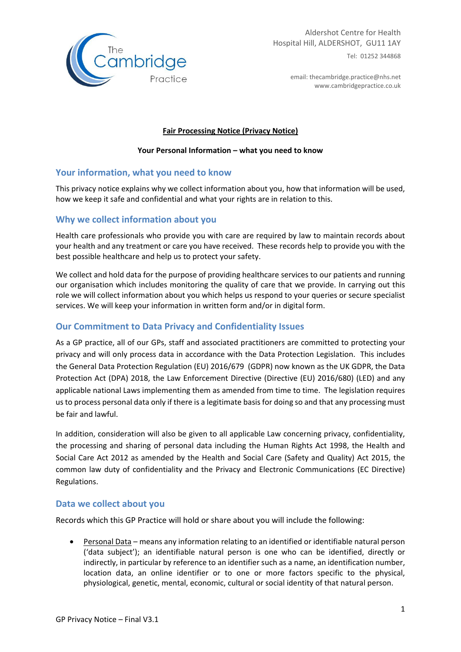

email: thecambridge.practice@nhs.net www.cambridgepractice.co.uk

#### **Fair Processing Notice (Privacy Notice)**

#### **Your Personal Information – what you need to know**

### **Your information, what you need to know**

This privacy notice explains why we collect information about you, how that information will be used, how we keep it safe and confidential and what your rights are in relation to this.

# **Why we collect information about you**

Health care professionals who provide you with care are required by law to maintain records about your health and any treatment or care you have received. These records help to provide you with the best possible healthcare and help us to protect your safety.

We collect and hold data for the purpose of providing healthcare services to our patients and running our organisation which includes monitoring the quality of care that we provide. In carrying out this role we will collect information about you which helps us respond to your queries or secure specialist services. We will keep your information in written form and/or in digital form.

### **Our Commitment to Data Privacy and Confidentiality Issues**

As a GP practice, all of our GPs, staff and associated practitioners are committed to protecting your privacy and will only process data in accordance with the Data Protection Legislation. This includes the General Data Protection Regulation (EU) 2016/679 (GDPR) now known as the UK GDPR, the Data Protection Act (DPA) 2018, the Law Enforcement Directive (Directive (EU) 2016/680) (LED) and any applicable national Laws implementing them as amended from time to time. The legislation requires usto process personal data only if there is a legitimate basisfor doing so and that any processing must be fair and lawful.

In addition, consideration will also be given to all applicable Law concerning privacy, confidentiality, the processing and sharing of personal data including the Human Rights Act 1998, the Health and Social Care Act 2012 as amended by the Health and Social Care (Safety and Quality) Act 2015, the common law duty of confidentiality and the Privacy and Electronic Communications (EC Directive) Regulations.

### **Data we collect about you**

Records which this GP Practice will hold or share about you will include the following:

 Personal Data – means any information relating to an identified or identifiable natural person ('data subject'); an identifiable natural person is one who can be identified, directly or indirectly, in particular by reference to an identifier such as a name, an identification number, location data, an online identifier or to one or more factors specific to the physical, physiological, genetic, mental, economic, cultural or social identity of that natural person.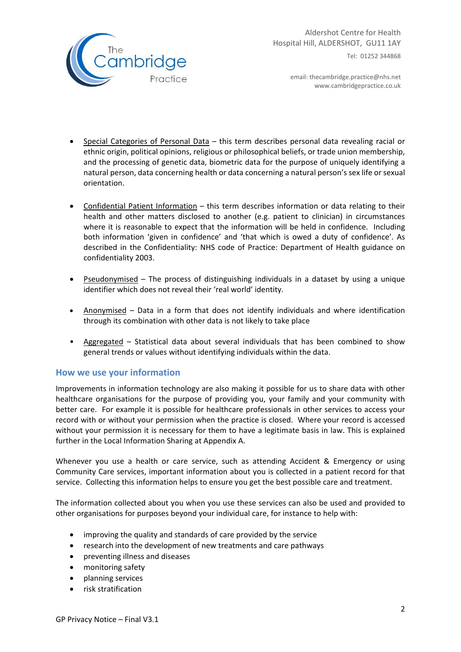

email: thecambridge.practice@nhs.net www.cambridgepractice.co.uk

- Special Categories of Personal Data this term describes personal data revealing racial or ethnic origin, political opinions, religious or philosophical beliefs, or trade union membership, and the processing of genetic data, biometric data for the purpose of uniquely identifying a natural person, data concerning health or data concerning a natural person's sex life or sexual orientation.
- Confidential Patient Information this term describes information or data relating to their health and other matters disclosed to another (e.g. patient to clinician) in circumstances where it is reasonable to expect that the information will be held in confidence. Including both information 'given in confidence' and 'that which is owed a duty of confidence'. As described in the Confidentiality: NHS code of Practice: Department of Health guidance on confidentiality 2003.
- Pseudonymised The process of distinguishing individuals in a dataset by using a unique identifier which does not reveal their 'real world' identity.
- Anonymised Data in a form that does not identify individuals and where identification through its combination with other data is not likely to take place
- Aggregated Statistical data about several individuals that has been combined to show general trends or values without identifying individuals within the data.

### **How we use your information**

Improvements in information technology are also making it possible for us to share data with other healthcare organisations for the purpose of providing you, your family and your community with better care. For example it is possible for healthcare professionals in other services to access your record with or without your permission when the practice is closed. Where your record is accessed without your permission it is necessary for them to have a legitimate basis in law. This is explained further in the Local Information Sharing at Appendix A.

Whenever you use a health or care service, such as attending Accident & Emergency or using Community Care services, important information about you is collected in a patient record for that service. Collecting this information helps to ensure you get the best possible care and treatment.

The information collected about you when you use these services can also be used and provided to other organisations for purposes beyond your individual care, for instance to help with:

- improving the quality and standards of care provided by the service
- research into the development of new treatments and care pathways
- preventing illness and diseases
- monitoring safety
- planning services
- risk stratification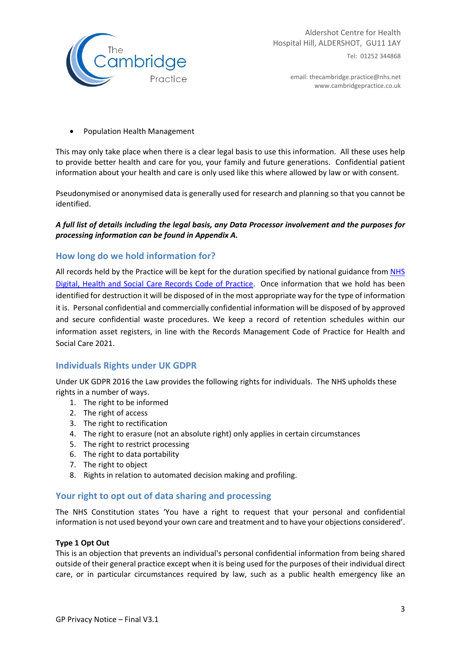

email: thecambridge.practice@nhs.net www.cambridgepractice.co.uk

Population Health Management

This may only take place when there is a clear legal basis to use this information. All these uses help to provide better health and care for you, your family and future generations. Confidential patient information about your health and care is only used like this where allowed by law or with consent.

Pseudonymised or anonymised data is generally used for research and planning so that you cannot be identified.

#### *A full list of details including the legal basis, any Data Processor involvement and the purposes for processing information can be found in Appendix A.*

### **How long do we hold information for?**

All records held by the Practice will be kept for the duration specified by national guidance from NHS Digital, Health and Social Care Records Code of Practice. Once information that we hold has been identified for destruction it will be disposed of in the most appropriate way for the type of information it is. Personal confidential and commercially confidential information will be disposed of by approved and secure confidential waste procedures. We keep a record of retention schedules within our information asset registers, in line with the Records Management Code of Practice for Health and Social Care 2021.

### **Individuals Rights under UK GDPR**

Under UK GDPR 2016 the Law provides the following rights for individuals. The NHS upholds these rights in a number of ways.

- 1. The right to be informed
- 2. The right of access
- 3. The right to rectification
- 4. The right to erasure (not an absolute right) only applies in certain circumstances
- 5. The right to restrict processing
- 6. The right to data portability
- 7. The right to object
- 8. Rights in relation to automated decision making and profiling.

### **Your right to opt out of data sharing and processing**

The NHS Constitution states 'You have a right to request that your personal and confidential information is not used beyond your own care and treatment and to have your objections considered'.

#### **Type 1 Opt Out**

This is an objection that prevents an individual's personal confidential information from being shared outside of their general practice except when it is being used for the purposes of their individual direct care, or in particular circumstances required by law, such as a public health emergency like an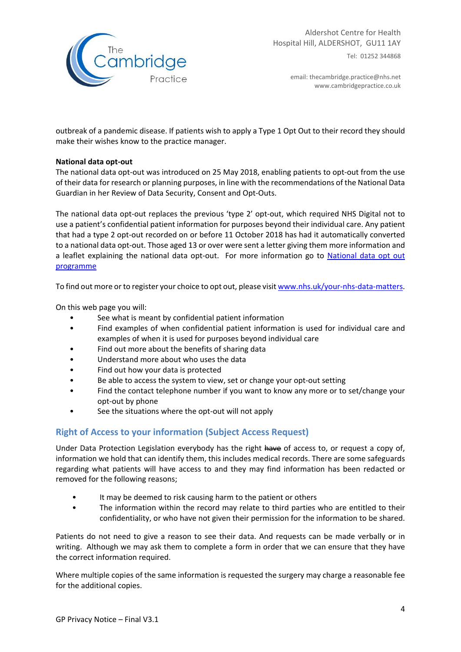

email: thecambridge.practice@nhs.net www.cambridgepractice.co.uk

outbreak of a pandemic disease. If patients wish to apply a Type 1 Opt Out to their record they should make their wishes know to the practice manager.

#### **National data opt‐out**

The national data opt-out was introduced on 25 May 2018, enabling patients to opt-out from the use of their data for research or planning purposes, in line with the recommendations of the National Data Guardian in her Review of Data Security, Consent and Opt‐Outs.

The national data opt‐out replaces the previous 'type 2' opt‐out, which required NHS Digital not to use a patient's confidential patient information for purposes beyond their individual care. Any patient that had a type 2 opt‐out recorded on or before 11 October 2018 has had it automatically converted to a national data opt‐out. Those aged 13 or over were sent a letter giving them more information and a leaflet explaining the national data opt-out. For more information go to National data opt out programme

To find out more or to register your choice to opt out, please visit www.nhs.uk/your-nhs-data-matters.

On this web page you will:

- See what is meant by confidential patient information
- Find examples of when confidential patient information is used for individual care and examples of when it is used for purposes beyond individual care
- Find out more about the benefits of sharing data
- Understand more about who uses the data
- Find out how your data is protected
- Be able to access the system to view, set or change your opt-out setting
- Find the contact telephone number if you want to know any more or to set/change your opt‐out by phone
- See the situations where the opt-out will not apply

### **Right of Access to your information (Subject Access Request)**

Under Data Protection Legislation everybody has the right have of access to, or request a copy of, information we hold that can identify them, this includes medical records. There are some safeguards regarding what patients will have access to and they may find information has been redacted or removed for the following reasons;

- It may be deemed to risk causing harm to the patient or others
- The information within the record may relate to third parties who are entitled to their confidentiality, or who have not given their permission for the information to be shared.

Patients do not need to give a reason to see their data. And requests can be made verbally or in writing. Although we may ask them to complete a form in order that we can ensure that they have the correct information required.

Where multiple copies of the same information is requested the surgery may charge a reasonable fee for the additional copies.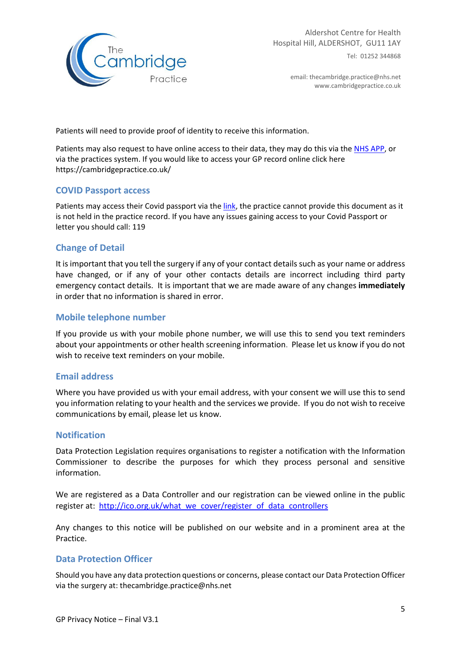

email: thecambridge.practice@nhs.net www.cambridgepractice.co.uk

Patients will need to provide proof of identity to receive this information.

Patients may also request to have online access to their data, they may do this via the NHS APP, or via the practices system. If you would like to access your GP record online click here https://cambridgepractice.co.uk/

### **COVID Passport access**

Patients may access their Covid passport via the link, the practice cannot provide this document as it is not held in the practice record. If you have any issues gaining access to your Covid Passport or letter you should call: 119

### **Change of Detail**

It is important that you tell the surgery if any of your contact details such as your name or address have changed, or if any of your other contacts details are incorrect including third party emergency contact details. It is important that we are made aware of any changes **immediately** in order that no information is shared in error.

### **Mobile telephone number**

If you provide us with your mobile phone number, we will use this to send you text reminders about your appointments or other health screening information. Please let us know if you do not wish to receive text reminders on your mobile.

### **Email address**

Where you have provided us with your email address, with your consent we will use this to send you information relating to your health and the services we provide. If you do not wish to receive communications by email, please let us know.

#### **Notification**

Data Protection Legislation requires organisations to register a notification with the Information Commissioner to describe the purposes for which they process personal and sensitive information.

We are registered as a Data Controller and our registration can be viewed online in the public register at: http://ico.org.uk/what\_we\_cover/register\_of\_data\_controllers

Any changes to this notice will be published on our website and in a prominent area at the Practice.

### **Data Protection Officer**

Should you have any data protection questions or concerns, please contact our Data Protection Officer via the surgery at: thecambridge.practice@nhs.net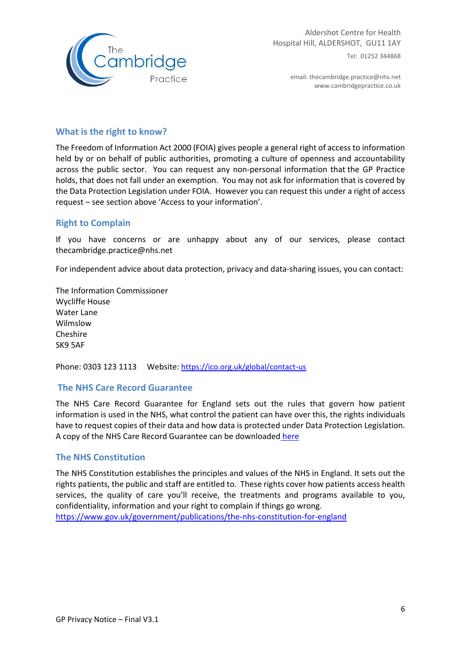

email: thecambridge.practice@nhs.net www.cambridgepractice.co.uk

## **What is the right to know?**

The Freedom of Information Act 2000 (FOIA) gives people a general right of access to information held by or on behalf of public authorities, promoting a culture of openness and accountability across the public sector. You can request any non-personal information that the GP Practice holds, that does not fall under an exemption. You may not ask for information that is covered by the Data Protection Legislation under FOIA. However you can request this under a right of access request – see section above 'Access to your information'.

### **Right to Complain**

If you have concerns or are unhappy about any of our services, please contact thecambridge.practice@nhs.net

For independent advice about data protection, privacy and data-sharing issues, you can contact:

The Information Commissioner Wycliffe House Water Lane Wilmslow Cheshire SK9 5AF

Phone: 0303 123 1113 Website: https://ico.org.uk/global/contact-us

### **The NHS Care Record Guarantee**

The NHS Care Record Guarantee for England sets out the rules that govern how patient information is used in the NHS, what control the patient can have over this, the rights individuals have to request copies of their data and how data is protected under Data Protection Legislation. A copy of the NHS Care Record Guarantee can be downloaded here

### **The NHS Constitution**

The NHS Constitution establishes the principles and values of the NHS in England. It sets out the rights patients, the public and staff are entitled to. These rights cover how patients access health services, the quality of care you'll receive, the treatments and programs available to you, confidentiality, information and your right to complain if things go wrong. https://www.gov.uk/government/publications/the-nhs-constitution-for-england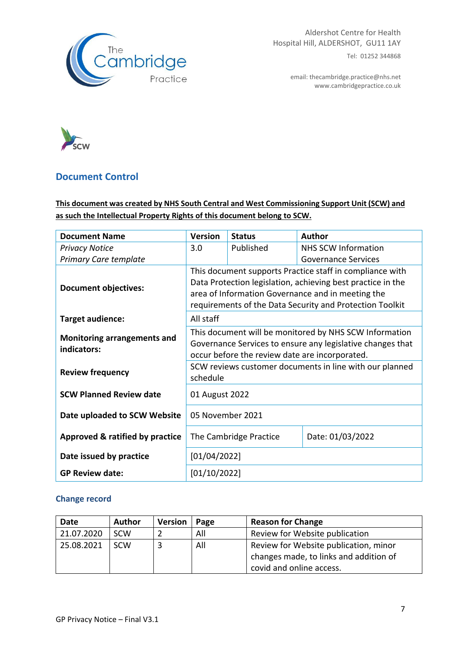

email: thecambridge.practice@nhs.net www.cambridgepractice.co.uk



# **Document Control**

# **This document was created by NHS South Central and West Commissioning Support Unit (SCW) and as such the Intellectual Property Rights of this document belong to SCW.**

| <b>Document Name</b>                              | <b>Version</b>                                                                                                                                                                                                                           | <b>Status</b>          | <b>Author</b>              |  |  |
|---------------------------------------------------|------------------------------------------------------------------------------------------------------------------------------------------------------------------------------------------------------------------------------------------|------------------------|----------------------------|--|--|
| <b>Privacy Notice</b>                             | 3.0                                                                                                                                                                                                                                      | Published              | NHS SCW Information        |  |  |
| <b>Primary Care template</b>                      |                                                                                                                                                                                                                                          |                        | <b>Governance Services</b> |  |  |
| <b>Document objectives:</b>                       | This document supports Practice staff in compliance with<br>Data Protection legislation, achieving best practice in the<br>area of Information Governance and in meeting the<br>requirements of the Data Security and Protection Toolkit |                        |                            |  |  |
| Target audience:                                  | All staff                                                                                                                                                                                                                                |                        |                            |  |  |
| <b>Monitoring arrangements and</b><br>indicators: | This document will be monitored by NHS SCW Information<br>Governance Services to ensure any legislative changes that<br>occur before the review date are incorporated.                                                                   |                        |                            |  |  |
| <b>Review frequency</b>                           | SCW reviews customer documents in line with our planned<br>schedule                                                                                                                                                                      |                        |                            |  |  |
| <b>SCW Planned Review date</b>                    | 01 August 2022                                                                                                                                                                                                                           |                        |                            |  |  |
| Date uploaded to SCW Website                      | 05 November 2021                                                                                                                                                                                                                         |                        |                            |  |  |
| Approved & ratified by practice                   |                                                                                                                                                                                                                                          | The Cambridge Practice | Date: 01/03/2022           |  |  |
| Date issued by practice                           | [01/04/2022]                                                                                                                                                                                                                             |                        |                            |  |  |
| <b>GP Review date:</b>                            | [01/10/2022]                                                                                                                                                                                                                             |                        |                            |  |  |

# **Change record**

| Date       | <b>Author</b> | <b>Version</b> | Page | <b>Reason for Change</b>               |
|------------|---------------|----------------|------|----------------------------------------|
| 21.07.2020 | <b>SCW</b>    |                | All  | Review for Website publication         |
| 25.08.2021 | SCW           |                | All  | Review for Website publication, minor  |
|            |               |                |      | changes made, to links and addition of |
|            |               |                |      | covid and online access.               |